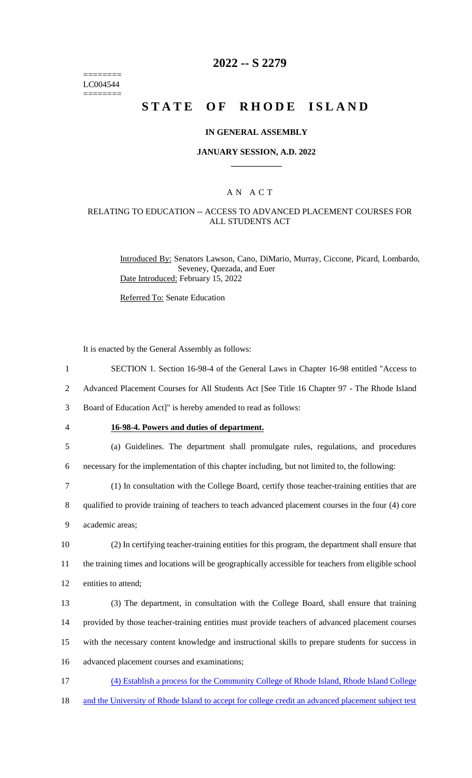======== LC004544 ========

## **2022 -- S 2279**

## **STATE OF RHODE ISLAND**

### **IN GENERAL ASSEMBLY**

### **JANUARY SESSION, A.D. 2022 \_\_\_\_\_\_\_\_\_\_\_\_**

## A N A C T

## RELATING TO EDUCATION -- ACCESS TO ADVANCED PLACEMENT COURSES FOR ALL STUDENTS ACT

Introduced By: Senators Lawson, Cano, DiMario, Murray, Ciccone, Picard, Lombardo, Seveney, Quezada, and Euer Date Introduced: February 15, 2022

Referred To: Senate Education

It is enacted by the General Assembly as follows:

- 1 SECTION 1. Section 16-98-4 of the General Laws in Chapter 16-98 entitled "Access to
- 2 Advanced Placement Courses for All Students Act [See Title 16 Chapter 97 The Rhode Island

3 Board of Education Act]" is hereby amended to read as follows:

#### 4 **16-98-4. Powers and duties of department.**

5 (a) Guidelines. The department shall promulgate rules, regulations, and procedures 6 necessary for the implementation of this chapter including, but not limited to, the following:

7 (1) In consultation with the College Board, certify those teacher-training entities that are

8 qualified to provide training of teachers to teach advanced placement courses in the four (4) core 9 academic areas;

10 (2) In certifying teacher-training entities for this program, the department shall ensure that 11 the training times and locations will be geographically accessible for teachers from eligible school 12 entities to attend;

 (3) The department, in consultation with the College Board, shall ensure that training provided by those teacher-training entities must provide teachers of advanced placement courses with the necessary content knowledge and instructional skills to prepare students for success in advanced placement courses and examinations;

- 17 (4) Establish a process for the Community College of Rhode Island, Rhode Island College
- 18 and the University of Rhode Island to accept for college credit an advanced placement subject test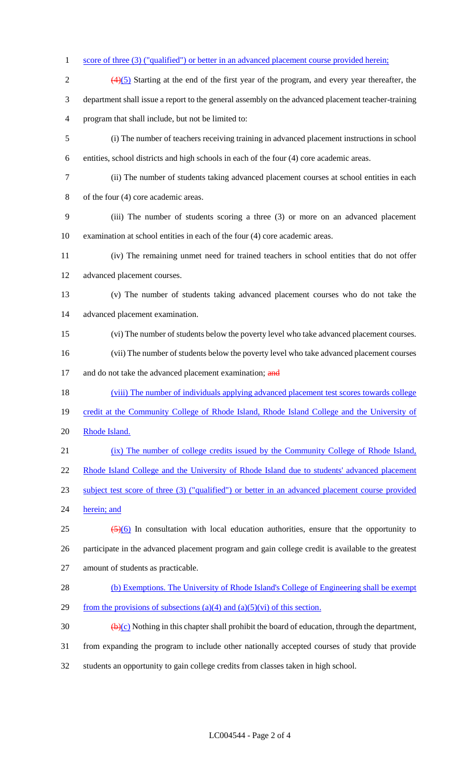# 1 score of three (3) ("qualified") or better in an advanced placement course provided herein;

 $\frac{(4)(5)}{2}$  Starting at the end of the first year of the program, and every year thereafter, the department shall issue a report to the general assembly on the advanced placement teacher-training program that shall include, but not be limited to: (i) The number of teachers receiving training in advanced placement instructions in school entities, school districts and high schools in each of the four (4) core academic areas. (ii) The number of students taking advanced placement courses at school entities in each of the four (4) core academic areas. (iii) The number of students scoring a three (3) or more on an advanced placement examination at school entities in each of the four (4) core academic areas. (iv) The remaining unmet need for trained teachers in school entities that do not offer advanced placement courses. (v) The number of students taking advanced placement courses who do not take the advanced placement examination. (vi) The number of students below the poverty level who take advanced placement courses. (vii) The number of students below the poverty level who take advanced placement courses 17 and do not take the advanced placement examination; and 18 (viii) The number of individuals applying advanced placement test scores towards college 19 credit at the Community College of Rhode Island, Rhode Island College and the University of 20 Rhode Island. (ix) The number of college credits issued by the Community College of Rhode Island, 22 Rhode Island College and the University of Rhode Island due to students' advanced placement subject test score of three (3) ("qualified") or better in an advanced placement course provided 24 herein; and  $\leftrightarrow$   $\leftrightarrow$   $\leftrightarrow$   $\leftrightarrow$  In consultation with local education authorities, ensure that the opportunity to participate in the advanced placement program and gain college credit is available to the greatest amount of students as practicable. (b) Exemptions. The University of Rhode Island's College of Engineering shall be exempt 29 from the provisions of subsections (a)(4) and (a)(5)(vi) of this section.  $\left(\frac{b}{c}\right)$  Nothing in this chapter shall prohibit the board of education, through the department, from expanding the program to include other nationally accepted courses of study that provide

students an opportunity to gain college credits from classes taken in high school.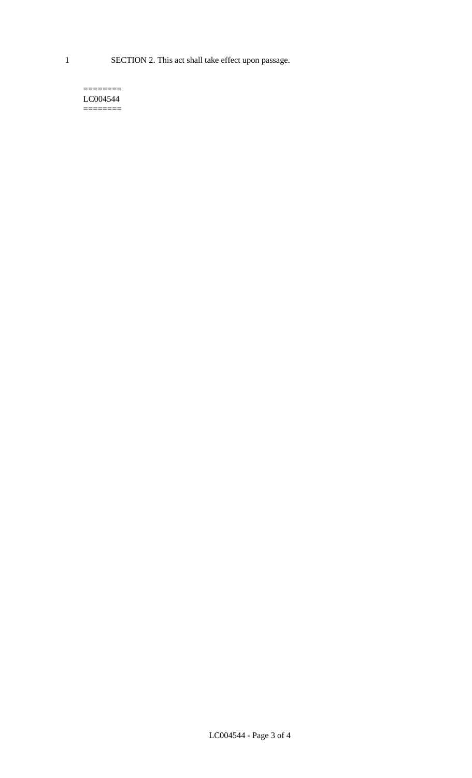1 SECTION 2. This act shall take effect upon passage.

### $=$ LC004544  $=$

LC004544 - Page 3 of 4